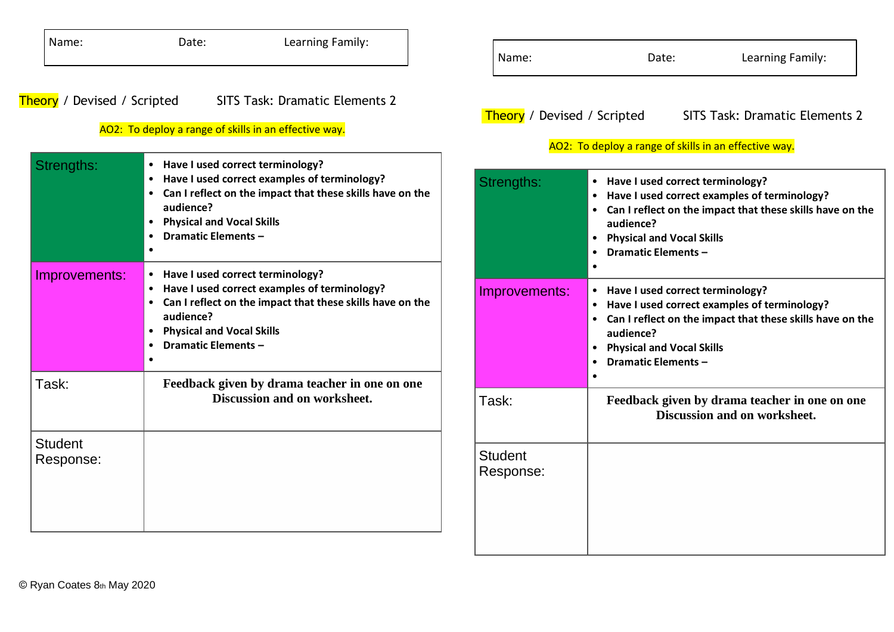| Name:                              | Date:                                                                                                                                                                                                                                                                                                                                                                                                                                                                       | Learning Family:                                                                     | Name:                       | Date:                                                                                                                                                                                                                                                                                                                                                                                                                                                          | Learning Family:                                                              |
|------------------------------------|-----------------------------------------------------------------------------------------------------------------------------------------------------------------------------------------------------------------------------------------------------------------------------------------------------------------------------------------------------------------------------------------------------------------------------------------------------------------------------|--------------------------------------------------------------------------------------|-----------------------------|----------------------------------------------------------------------------------------------------------------------------------------------------------------------------------------------------------------------------------------------------------------------------------------------------------------------------------------------------------------------------------------------------------------------------------------------------------------|-------------------------------------------------------------------------------|
| <b>Theory</b> / Devised / Scripted | AO2: To deploy a range of skills in an effective way.<br>$\bullet$                                                                                                                                                                                                                                                                                                                                                                                                          | <b>SITS Task: Dramatic Elements 2</b>                                                | Theory / Devised / Scripted | AO2: To deploy a range of skills in an effective way.                                                                                                                                                                                                                                                                                                                                                                                                          | <b>SITS Task: Dramatic Elements 2</b>                                         |
| Strengths:                         | Have I used correct terminology?<br>Have I used correct examples of terminology?<br>Can I reflect on the impact that these skills have on the<br>audience?<br><b>Physical and Vocal Skills</b><br><b>Dramatic Elements -</b><br>• Have I used correct terminology?<br>Have I used correct examples of terminology?<br>Can I reflect on the impact that these skills have on the<br>audience?<br><b>Physical and Vocal Skills</b><br><b>Dramatic Elements -</b><br>$\bullet$ |                                                                                      | Strengths:                  | • Have I used correct terminology?<br>• Have I used correct examples of terminology?<br>• Can I reflect on the impact that these skills have on the<br>audience?<br>• Physical and Vocal Skills<br><b>Dramatic Elements -</b><br>• Have I used correct terminology?<br>• Have I used correct examples of terminology?<br>• Can I reflect on the impact that these skills have on the<br>audience?<br>• Physical and Vocal Skills<br><b>Dramatic Elements -</b> |                                                                               |
| Improvements:                      |                                                                                                                                                                                                                                                                                                                                                                                                                                                                             |                                                                                      | Improvements:               |                                                                                                                                                                                                                                                                                                                                                                                                                                                                |                                                                               |
| Task:                              |                                                                                                                                                                                                                                                                                                                                                                                                                                                                             | Feedback given by drama teacher in one on one<br><b>Discussion and on worksheet.</b> | Task:                       |                                                                                                                                                                                                                                                                                                                                                                                                                                                                | Feedback given by drama teacher in one on one<br>Discussion and on worksheet. |
| <b>Student</b><br>Response:        |                                                                                                                                                                                                                                                                                                                                                                                                                                                                             |                                                                                      | <b>Student</b><br>Response: |                                                                                                                                                                                                                                                                                                                                                                                                                                                                |                                                                               |